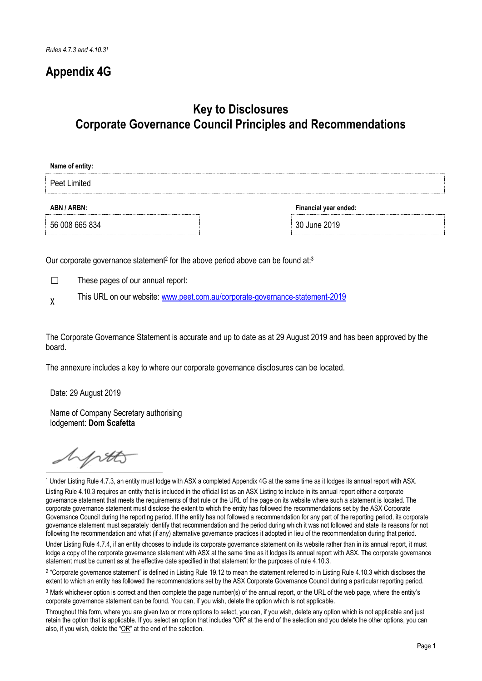# **Appendix 4G**

# **Key to Disclosures Corporate Governance Council Principles and Recommendations**

| Name of entity: |                       |
|-----------------|-----------------------|
| Peet Limited    |                       |
| ABN / ARBN:     | Financial year ended: |
| 56 008 665 834  | 30 June 2019          |

Our corporate governance statement<sup>2</sup> for the above period above can be found at:<sup>3</sup>

☐ These pages of our annual report:

X This URL on our website: [www.peet.com.au/corporate-governance-statement-2019](http://www.peet.com.au/corporate-governance-statement-2019)

The Corporate Governance Statement is accurate and up to date as at 29 August 2019 and has been approved by the board.

The annexure includes a key to where our corporate governance disclosures can be located.

Date: 29 August 2019

Name of Company Secretary authorising lodgement: **Dom Scafetta**

hptt

<u>.</u> <sup>1</sup> Under Listing Rule 4.7.3, an entity must lodge with ASX a completed Appendix 4G at the same time as it lodges its annual report with ASX.

Listing Rule 4.10.3 requires an entity that is included in the official list as an ASX Listing to include in its annual report either a corporate governance statement that meets the requirements of that rule or the URL of the page on its website where such a statement is located. The corporate governance statement must disclose the extent to which the entity has followed the recommendations set by the ASX Corporate Governance Council during the reporting period. If the entity has not followed a recommendation for any part of the reporting period, its corporate governance statement must separately identify that recommendation and the period during which it was not followed and state its reasons for not following the recommendation and what (if any) alternative governance practices it adopted in lieu of the recommendation during that period.

Under Listing Rule 4.7.4, if an entity chooses to include its corporate governance statement on its website rather than in its annual report, it must lodge a copy of the corporate governance statement with ASX at the same time as it lodges its annual report with ASX. The corporate governance statement must be current as at the effective date specified in that statement for the purposes of rule 4.10.3.

<sup>2</sup> "Corporate governance statement" is defined in Listing Rule 19.12 to mean the statement referred to in Listing Rule 4.10.3 which discloses the extent to which an entity has followed the recommendations set by the ASX Corporate Governance Council during a particular reporting period.

<sup>3</sup> Mark whichever option is correct and then complete the page number(s) of the annual report, or the URL of the web page, where the entity's corporate governance statement can be found. You can, if you wish, delete the option which is not applicable.

Throughout this form, where you are given two or more options to select, you can, if you wish, delete any option which is not applicable and just retain the option that is applicable. If you select an option that includes " $OR$ " at the end of the selection and you delete the other options, you can also, if you wish, delete the "OR" at the end of the selection.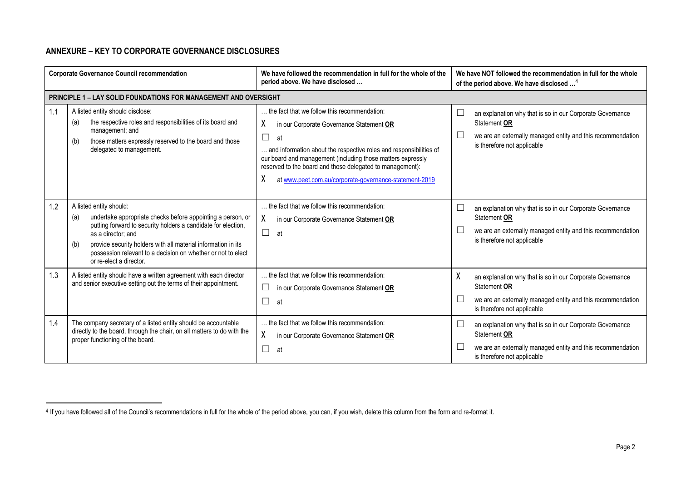## **ANNEXURE – KEY TO CORPORATE GOVERNANCE DISCLOSURES**

-

|     | <b>Corporate Governance Council recommendation</b>                                                                                                                                                                                                                                                                                                      | We have followed the recommendation in full for the whole of the<br>period above. We have disclosed                                                                                                                                                                                                                                                                              | We have NOT followed the recommendation in full for the whole<br>of the period above. We have disclosed <sup>4</sup>                                                                   |
|-----|---------------------------------------------------------------------------------------------------------------------------------------------------------------------------------------------------------------------------------------------------------------------------------------------------------------------------------------------------------|----------------------------------------------------------------------------------------------------------------------------------------------------------------------------------------------------------------------------------------------------------------------------------------------------------------------------------------------------------------------------------|----------------------------------------------------------------------------------------------------------------------------------------------------------------------------------------|
|     | <b>PRINCIPLE 1 - LAY SOLID FOUNDATIONS FOR MANAGEMENT AND OVERSIGHT</b>                                                                                                                                                                                                                                                                                 |                                                                                                                                                                                                                                                                                                                                                                                  |                                                                                                                                                                                        |
| 1.1 | A listed entity should disclose:<br>the respective roles and responsibilities of its board and<br>(a)<br>management; and<br>those matters expressly reserved to the board and those<br>(b)<br>delegated to management.                                                                                                                                  | the fact that we follow this recommendation:<br>χ<br>in our Corporate Governance Statement OR<br>$\Box$<br>at<br>. and information about the respective roles and responsibilities of<br>our board and management (including those matters expressly<br>reserved to the board and those delegated to management):<br>χ<br>at www.peet.com.au/corporate-governance-statement-2019 | └<br>an explanation why that is so in our Corporate Governance<br>Statement OR<br>we are an externally managed entity and this recommendation<br>$\Box$<br>is therefore not applicable |
| 1.2 | A listed entity should:<br>undertake appropriate checks before appointing a person, or<br>(a)<br>putting forward to security holders a candidate for election,<br>as a director; and<br>provide security holders with all material information in its<br>(b)<br>possession relevant to a decision on whether or not to elect<br>or re-elect a director. | the fact that we follow this recommendation:<br>χ<br>in our Corporate Governance Statement OR<br>$\Box$<br>at                                                                                                                                                                                                                                                                    | $\Box$<br>an explanation why that is so in our Corporate Governance<br>Statement OR<br>L<br>we are an externally managed entity and this recommendation<br>is therefore not applicable |
| 1.3 | A listed entity should have a written agreement with each director<br>and senior executive setting out the terms of their appointment.                                                                                                                                                                                                                  | the fact that we follow this recommendation:<br>⊔<br>in our Corporate Governance Statement OR<br>$\Box$<br>at                                                                                                                                                                                                                                                                    | χ<br>an explanation why that is so in our Corporate Governance<br>Statement OR<br>L<br>we are an externally managed entity and this recommendation<br>is therefore not applicable      |
| 1.4 | The company secretary of a listed entity should be accountable<br>directly to the board, through the chair, on all matters to do with the<br>proper functioning of the board.                                                                                                                                                                           | the fact that we follow this recommendation:<br>χ<br>in our Corporate Governance Statement OR<br>L<br>at                                                                                                                                                                                                                                                                         | └<br>an explanation why that is so in our Corporate Governance<br>Statement OR<br>we are an externally managed entity and this recommendation<br>is therefore not applicable           |

<sup>&</sup>lt;sup>4</sup> If you have followed all of the Council's recommendations in full for the whole of the period above, you can, if you wish, delete this column from the form and re-format it.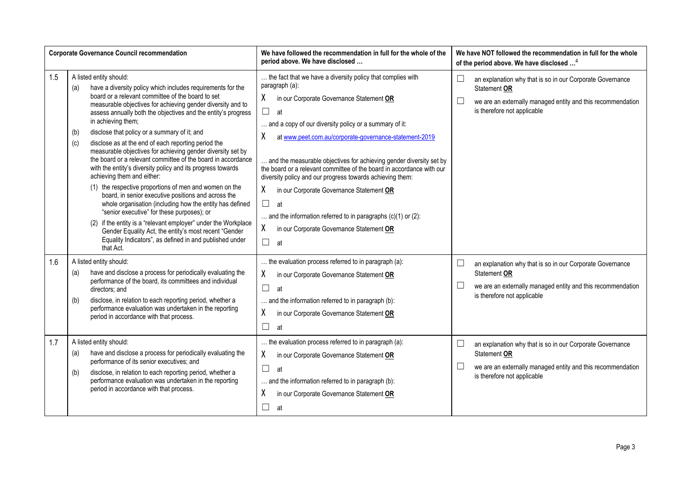|     | <b>Corporate Governance Council recommendation</b>                                                                                                                                                                                                                                                                                                                                                                                                                                                                                                                                                                                                                                                                                                                                                                                                                                                                                                                                                                                                                                      | We have followed the recommendation in full for the whole of the<br>period above. We have disclosed                                                                                                                                                                                                                                                                                                                                                                                                                                                                                                                                                                                          | We have NOT followed the recommendation in full for the whole<br>of the period above. We have disclosed <sup>4</sup>                                                                        |
|-----|-----------------------------------------------------------------------------------------------------------------------------------------------------------------------------------------------------------------------------------------------------------------------------------------------------------------------------------------------------------------------------------------------------------------------------------------------------------------------------------------------------------------------------------------------------------------------------------------------------------------------------------------------------------------------------------------------------------------------------------------------------------------------------------------------------------------------------------------------------------------------------------------------------------------------------------------------------------------------------------------------------------------------------------------------------------------------------------------|----------------------------------------------------------------------------------------------------------------------------------------------------------------------------------------------------------------------------------------------------------------------------------------------------------------------------------------------------------------------------------------------------------------------------------------------------------------------------------------------------------------------------------------------------------------------------------------------------------------------------------------------------------------------------------------------|---------------------------------------------------------------------------------------------------------------------------------------------------------------------------------------------|
| 1.5 | A listed entity should:<br>have a diversity policy which includes requirements for the<br>(a)<br>board or a relevant committee of the board to set<br>measurable objectives for achieving gender diversity and to<br>assess annually both the objectives and the entity's progress<br>in achieving them;<br>disclose that policy or a summary of it; and<br>(b)<br>disclose as at the end of each reporting period the<br>(c)<br>measurable objectives for achieving gender diversity set by<br>the board or a relevant committee of the board in accordance<br>with the entity's diversity policy and its progress towards<br>achieving them and either:<br>(1) the respective proportions of men and women on the<br>board, in senior executive positions and across the<br>whole organisation (including how the entity has defined<br>"senior executive" for these purposes); or<br>(2) if the entity is a "relevant employer" under the Workplace<br>Gender Equality Act, the entity's most recent "Gender<br>Equality Indicators", as defined in and published under<br>that Act. | the fact that we have a diversity policy that complies with<br>paragraph (a):<br>X<br>in our Corporate Governance Statement OR<br>$\Box$<br>at<br>and a copy of our diversity policy or a summary of it:<br>χ<br>at www.peet.com.au/corporate-governance-statement-2019<br>and the measurable objectives for achieving gender diversity set by<br>the board or a relevant committee of the board in accordance with our<br>diversity policy and our progress towards achieving them:<br>X<br>in our Corporate Governance Statement OR<br>$\Box$<br>at<br>and the information referred to in paragraphs $(c)(1)$ or $(2)$ :<br>X.<br>in our Corporate Governance Statement OR<br>$\Box$<br>at | $\Box$<br>an explanation why that is so in our Corporate Governance<br>Statement OR<br>$\Box$<br>we are an externally managed entity and this recommendation<br>is therefore not applicable |
| 1.6 | A listed entity should:<br>have and disclose a process for periodically evaluating the<br>(a)<br>performance of the board, its committees and individual<br>directors; and<br>disclose, in relation to each reporting period, whether a<br>(b)<br>performance evaluation was undertaken in the reporting<br>period in accordance with that process.                                                                                                                                                                                                                                                                                                                                                                                                                                                                                                                                                                                                                                                                                                                                     | the evaluation process referred to in paragraph (a):<br>X<br>in our Corporate Governance Statement OR<br>$\Box$<br>at<br>and the information referred to in paragraph (b):<br>χ<br>in our Corporate Governance Statement OR<br>П<br>at                                                                                                                                                                                                                                                                                                                                                                                                                                                       | $\Box$<br>an explanation why that is so in our Corporate Governance<br>Statement OR<br>$\Box$<br>we are an externally managed entity and this recommendation<br>is therefore not applicable |
| 1.7 | A listed entity should:<br>have and disclose a process for periodically evaluating the<br>(a)<br>performance of its senior executives; and<br>disclose, in relation to each reporting period, whether a<br>(b)<br>performance evaluation was undertaken in the reporting<br>period in accordance with that process.                                                                                                                                                                                                                                                                                                                                                                                                                                                                                                                                                                                                                                                                                                                                                                     | the evaluation process referred to in paragraph (a):<br>X<br>in our Corporate Governance Statement OR<br>$\Box$<br>at<br>and the information referred to in paragraph (b):<br>χ<br>in our Corporate Governance Statement OR<br>$\Box$<br>at                                                                                                                                                                                                                                                                                                                                                                                                                                                  | $\Box$<br>an explanation why that is so in our Corporate Governance<br>Statement OR<br>$\Box$<br>we are an externally managed entity and this recommendation<br>is therefore not applicable |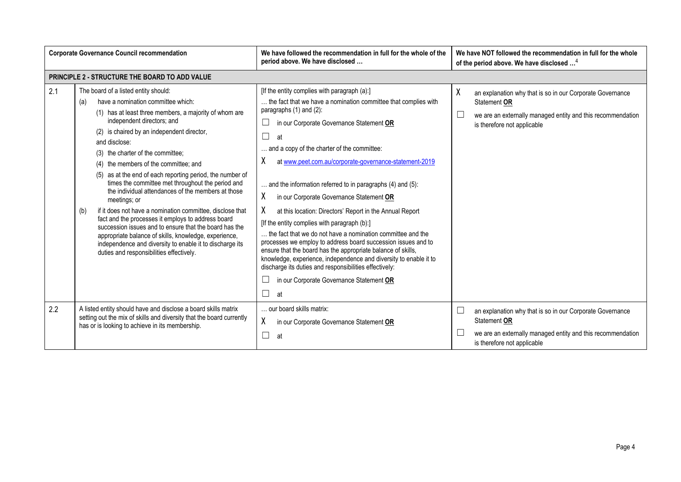| <b>Corporate Governance Council recommendation</b> |                                                                                                                                                                                                                                                                                                                                                                                                                                                                                                                                                                                                                                                                                                                                                                                                                                                                     | We have followed the recommendation in full for the whole of the<br>period above. We have disclosed                                                                                                                                                                                                                                                                                                                                                                                                                                                                                                                                                                                                                                                                                                                                                                                                                                              | We have NOT followed the recommendation in full for the whole<br>of the period above. We have disclosed <sup>4</sup>                                                         |
|----------------------------------------------------|---------------------------------------------------------------------------------------------------------------------------------------------------------------------------------------------------------------------------------------------------------------------------------------------------------------------------------------------------------------------------------------------------------------------------------------------------------------------------------------------------------------------------------------------------------------------------------------------------------------------------------------------------------------------------------------------------------------------------------------------------------------------------------------------------------------------------------------------------------------------|--------------------------------------------------------------------------------------------------------------------------------------------------------------------------------------------------------------------------------------------------------------------------------------------------------------------------------------------------------------------------------------------------------------------------------------------------------------------------------------------------------------------------------------------------------------------------------------------------------------------------------------------------------------------------------------------------------------------------------------------------------------------------------------------------------------------------------------------------------------------------------------------------------------------------------------------------|------------------------------------------------------------------------------------------------------------------------------------------------------------------------------|
|                                                    | PRINCIPLE 2 - STRUCTURE THE BOARD TO ADD VALUE                                                                                                                                                                                                                                                                                                                                                                                                                                                                                                                                                                                                                                                                                                                                                                                                                      |                                                                                                                                                                                                                                                                                                                                                                                                                                                                                                                                                                                                                                                                                                                                                                                                                                                                                                                                                  |                                                                                                                                                                              |
| 2.1                                                | The board of a listed entity should:<br>have a nomination committee which:<br>(a)<br>(1) has at least three members, a majority of whom are<br>independent directors; and<br>(2) is chaired by an independent director,<br>and disclose:<br>(3) the charter of the committee;<br>(4) the members of the committee; and<br>(5) as at the end of each reporting period, the number of<br>times the committee met throughout the period and<br>the individual attendances of the members at those<br>meetings; or<br>if it does not have a nomination committee, disclose that<br>(b)<br>fact and the processes it employs to address board<br>succession issues and to ensure that the board has the<br>appropriate balance of skills, knowledge, experience,<br>independence and diversity to enable it to discharge its<br>duties and responsibilities effectively. | [If the entity complies with paragraph (a):]<br>the fact that we have a nomination committee that complies with<br>paragraphs (1) and (2):<br>in our Corporate Governance Statement OR<br>$\Box$<br>at<br>and a copy of the charter of the committee:<br>at www.peet.com.au/corporate-governance-statement-2019<br>λ<br>and the information referred to in paragraphs (4) and (5):<br>χ<br>in our Corporate Governance Statement OR<br>X.<br>at this location: Directors' Report in the Annual Report<br>[If the entity complies with paragraph (b):]<br>the fact that we do not have a nomination committee and the<br>processes we employ to address board succession issues and to<br>ensure that the board has the appropriate balance of skills,<br>knowledge, experience, independence and diversity to enable it to<br>discharge its duties and responsibilities effectively:<br>in our Corporate Governance Statement OR<br>$\Box$<br>at | χ<br>an explanation why that is so in our Corporate Governance<br>Statement OR<br>we are an externally managed entity and this recommendation<br>is therefore not applicable |
| 2.2                                                | A listed entity should have and disclose a board skills matrix<br>setting out the mix of skills and diversity that the board currently<br>has or is looking to achieve in its membership.                                                                                                                                                                                                                                                                                                                                                                                                                                                                                                                                                                                                                                                                           | our board skills matrix:<br>χ<br>in our Corporate Governance Statement OR<br>$\mathcal{L}_{\mathcal{A}}$<br>at                                                                                                                                                                                                                                                                                                                                                                                                                                                                                                                                                                                                                                                                                                                                                                                                                                   | an explanation why that is so in our Corporate Governance<br>Statement OR<br>we are an externally managed entity and this recommendation<br>is therefore not applicable      |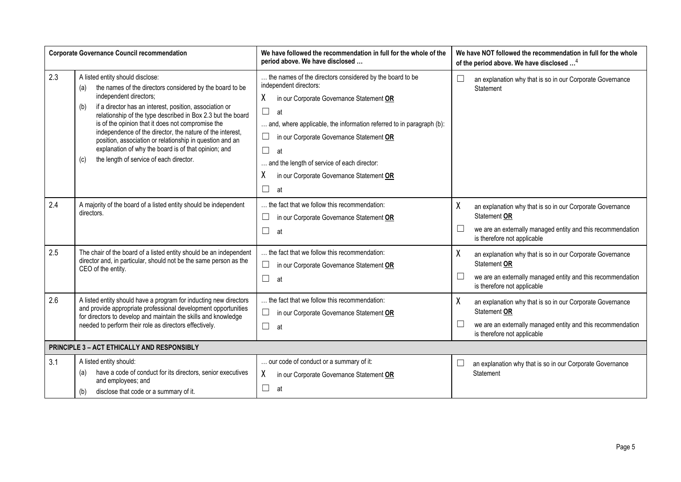|     | <b>Corporate Governance Council recommendation</b>                                                                                                                                                                                                                                                                                                                                                                                                                                                                                                     | We have followed the recommendation in full for the whole of the<br>period above. We have disclosed                                                                                                                                                                                                                                                                                                               | We have NOT followed the recommendation in full for the whole<br>of the period above. We have disclosed <sup>4</sup>                                                                   |
|-----|--------------------------------------------------------------------------------------------------------------------------------------------------------------------------------------------------------------------------------------------------------------------------------------------------------------------------------------------------------------------------------------------------------------------------------------------------------------------------------------------------------------------------------------------------------|-------------------------------------------------------------------------------------------------------------------------------------------------------------------------------------------------------------------------------------------------------------------------------------------------------------------------------------------------------------------------------------------------------------------|----------------------------------------------------------------------------------------------------------------------------------------------------------------------------------------|
| 2.3 | A listed entity should disclose:<br>the names of the directors considered by the board to be<br>(a)<br>independent directors;<br>if a director has an interest, position, association or<br>(b)<br>relationship of the type described in Box 2.3 but the board<br>is of the opinion that it does not compromise the<br>independence of the director, the nature of the interest,<br>position, association or relationship in question and an<br>explanation of why the board is of that opinion; and<br>the length of service of each director.<br>(c) | the names of the directors considered by the board to be<br>independent directors:<br>χ<br>in our Corporate Governance Statement OR<br>$\Box$<br>at<br>and, where applicable, the information referred to in paragraph (b):<br>$\Box$<br>in our Corporate Governance Statement OR<br>$\Box$<br>at<br>and the length of service of each director:<br>χ<br>in our Corporate Governance Statement OR<br>$\Box$<br>at | $\Box$<br>an explanation why that is so in our Corporate Governance<br>Statement                                                                                                       |
| 2.4 | A majority of the board of a listed entity should be independent<br>directors.                                                                                                                                                                                                                                                                                                                                                                                                                                                                         | the fact that we follow this recommendation:<br>$\Box$<br>in our Corporate Governance Statement OR<br>$\Box$<br>at                                                                                                                                                                                                                                                                                                | χ<br>an explanation why that is so in our Corporate Governance<br>Statement OR<br>$\Box$<br>we are an externally managed entity and this recommendation<br>is therefore not applicable |
| 2.5 | The chair of the board of a listed entity should be an independent<br>director and, in particular, should not be the same person as the<br>CEO of the entity.                                                                                                                                                                                                                                                                                                                                                                                          | the fact that we follow this recommendation:<br>$\Box$<br>in our Corporate Governance Statement OR<br>$\Box$<br>at                                                                                                                                                                                                                                                                                                | χ<br>an explanation why that is so in our Corporate Governance<br>Statement OR<br>$\Box$<br>we are an externally managed entity and this recommendation<br>is therefore not applicable |
| 2.6 | A listed entity should have a program for inducting new directors<br>and provide appropriate professional development opportunities<br>for directors to develop and maintain the skills and knowledge<br>needed to perform their role as directors effectively.                                                                                                                                                                                                                                                                                        | the fact that we follow this recommendation:<br>$\Box$<br>in our Corporate Governance Statement OR<br>$\Box$<br>at                                                                                                                                                                                                                                                                                                | χ<br>an explanation why that is so in our Corporate Governance<br>Statement OR<br>$\Box$<br>we are an externally managed entity and this recommendation<br>is therefore not applicable |
|     | PRINCIPLE 3 - ACT ETHICALLY AND RESPONSIBLY                                                                                                                                                                                                                                                                                                                                                                                                                                                                                                            |                                                                                                                                                                                                                                                                                                                                                                                                                   |                                                                                                                                                                                        |
| 3.1 | A listed entity should:<br>have a code of conduct for its directors, senior executives<br>(a)<br>and employees; and<br>disclose that code or a summary of it.<br>(b)                                                                                                                                                                                                                                                                                                                                                                                   | our code of conduct or a summary of it:<br>X<br>in our Corporate Governance Statement OR<br>П<br>at                                                                                                                                                                                                                                                                                                               | an explanation why that is so in our Corporate Governance<br>Statement                                                                                                                 |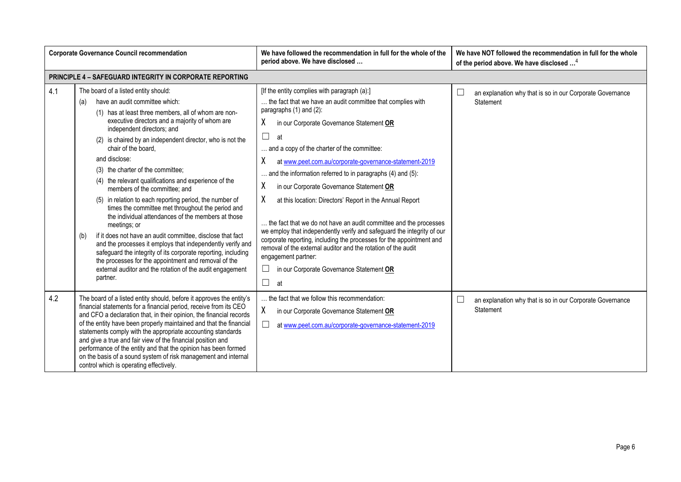|     | <b>Corporate Governance Council recommendation</b>                                                                                                                                                                                                                                                                                                                                                                                                                                                                                                                                                                                                                                                                                                                                                                                                                                                                                                                                   | We have followed the recommendation in full for the whole of the<br>period above. We have disclosed                                                                                                                                                                                                                                                                                                                                                                                                                                                                                                                                                                                                                                                                                                                                                                                        | We have NOT followed the recommendation in full for the whole<br>of the period above. We have disclosed <sup>4</sup> |
|-----|--------------------------------------------------------------------------------------------------------------------------------------------------------------------------------------------------------------------------------------------------------------------------------------------------------------------------------------------------------------------------------------------------------------------------------------------------------------------------------------------------------------------------------------------------------------------------------------------------------------------------------------------------------------------------------------------------------------------------------------------------------------------------------------------------------------------------------------------------------------------------------------------------------------------------------------------------------------------------------------|--------------------------------------------------------------------------------------------------------------------------------------------------------------------------------------------------------------------------------------------------------------------------------------------------------------------------------------------------------------------------------------------------------------------------------------------------------------------------------------------------------------------------------------------------------------------------------------------------------------------------------------------------------------------------------------------------------------------------------------------------------------------------------------------------------------------------------------------------------------------------------------------|----------------------------------------------------------------------------------------------------------------------|
|     | <b>PRINCIPLE 4 - SAFEGUARD INTEGRITY IN CORPORATE REPORTING</b>                                                                                                                                                                                                                                                                                                                                                                                                                                                                                                                                                                                                                                                                                                                                                                                                                                                                                                                      |                                                                                                                                                                                                                                                                                                                                                                                                                                                                                                                                                                                                                                                                                                                                                                                                                                                                                            |                                                                                                                      |
| 4.1 | The board of a listed entity should:<br>have an audit committee which:<br>(a)<br>(1) has at least three members, all of whom are non-<br>executive directors and a majority of whom are<br>independent directors; and<br>(2) is chaired by an independent director, who is not the<br>chair of the board,<br>and disclose:<br>(3) the charter of the committee;<br>(4) the relevant qualifications and experience of the<br>members of the committee; and<br>(5) in relation to each reporting period, the number of<br>times the committee met throughout the period and<br>the individual attendances of the members at those<br>meetings; or<br>if it does not have an audit committee, disclose that fact<br>(b)<br>and the processes it employs that independently verify and<br>safeguard the integrity of its corporate reporting, including<br>the processes for the appointment and removal of the<br>external auditor and the rotation of the audit engagement<br>partner. | [If the entity complies with paragraph (a):]<br>the fact that we have an audit committee that complies with<br>paragraphs (1) and (2):<br>χ<br>in our Corporate Governance Statement OR<br>$\Box$<br>at<br>and a copy of the charter of the committee:<br>χ<br>at www.peet.com.au/corporate-governance-statement-2019<br>and the information referred to in paragraphs (4) and (5):<br>χ<br>in our Corporate Governance Statement OR<br>χ<br>at this location: Directors' Report in the Annual Report<br>the fact that we do not have an audit committee and the processes<br>we employ that independently verify and safeguard the integrity of our<br>corporate reporting, including the processes for the appointment and<br>removal of the external auditor and the rotation of the audit<br>engagement partner:<br>$\Box$<br>in our Corporate Governance Statement OR<br>$\Box$<br>at | $\Box$<br>an explanation why that is so in our Corporate Governance<br>Statement                                     |
| 4.2 | The board of a listed entity should, before it approves the entity's<br>financial statements for a financial period, receive from its CEO<br>and CFO a declaration that, in their opinion, the financial records<br>of the entity have been properly maintained and that the financial<br>statements comply with the appropriate accounting standards<br>and give a true and fair view of the financial position and<br>performance of the entity and that the opinion has been formed<br>on the basis of a sound system of risk management and internal<br>control which is operating effectively.                                                                                                                                                                                                                                                                                                                                                                                  | the fact that we follow this recommendation:<br>X.<br>in our Corporate Governance Statement OR<br>$\Box$<br>at www.peet.com.au/corporate-governance-statement-2019                                                                                                                                                                                                                                                                                                                                                                                                                                                                                                                                                                                                                                                                                                                         | $\Box$<br>an explanation why that is so in our Corporate Governance<br>Statement                                     |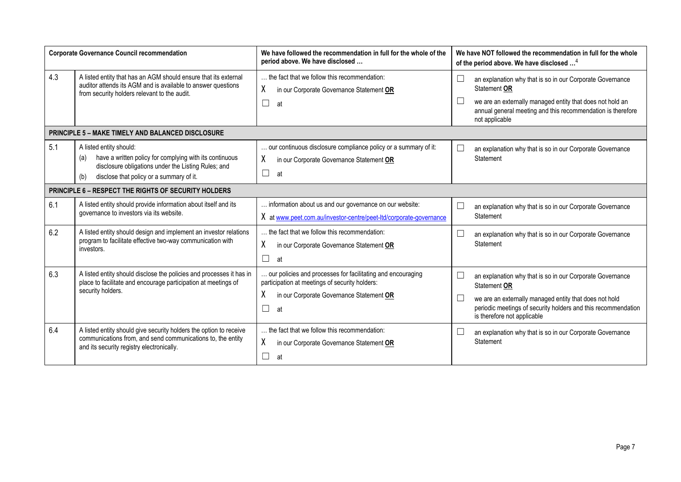|     | <b>Corporate Governance Council recommendation</b>                                                                                                                                                  | We have followed the recommendation in full for the whole of the<br>period above. We have disclosed                                                                       | We have NOT followed the recommendation in full for the whole<br>of the period above. We have disclosed <sup>4</sup>                                                                                                                          |
|-----|-----------------------------------------------------------------------------------------------------------------------------------------------------------------------------------------------------|---------------------------------------------------------------------------------------------------------------------------------------------------------------------------|-----------------------------------------------------------------------------------------------------------------------------------------------------------------------------------------------------------------------------------------------|
| 4.3 | A listed entity that has an AGM should ensure that its external<br>auditor attends its AGM and is available to answer questions<br>from security holders relevant to the audit.                     | the fact that we follow this recommendation:<br>χ<br>in our Corporate Governance Statement OR<br>$\Box$<br>at                                                             | $\Box$<br>an explanation why that is so in our Corporate Governance<br>Statement OR<br>we are an externally managed entity that does not hold an<br>annual general meeting and this recommendation is therefore<br>not applicable             |
|     | <b>PRINCIPLE 5 - MAKE TIMELY AND BALANCED DISCLOSURE</b>                                                                                                                                            |                                                                                                                                                                           |                                                                                                                                                                                                                                               |
| 5.1 | A listed entity should:<br>have a written policy for complying with its continuous<br>(a)<br>disclosure obligations under the Listing Rules; and<br>disclose that policy or a summary of it.<br>(b) | our continuous disclosure compliance policy or a summary of it:<br>χ<br>in our Corporate Governance Statement OR<br>$\Box$<br>at                                          | an explanation why that is so in our Corporate Governance<br>Statement                                                                                                                                                                        |
|     | PRINCIPLE 6 - RESPECT THE RIGHTS OF SECURITY HOLDERS                                                                                                                                                |                                                                                                                                                                           |                                                                                                                                                                                                                                               |
| 6.1 | A listed entity should provide information about itself and its<br>governance to investors via its website.                                                                                         | information about us and our governance on our website:<br>X at www.peet.com.au/investor-centre/peet-ltd/corporate-governance                                             | $\Box$<br>an explanation why that is so in our Corporate Governance<br>Statement                                                                                                                                                              |
| 6.2 | A listed entity should design and implement an investor relations<br>program to facilitate effective two-way communication with<br>investors.                                                       | the fact that we follow this recommendation:<br>χ<br>in our Corporate Governance Statement OR<br>$\Box$<br>at                                                             | $\Box$<br>an explanation why that is so in our Corporate Governance<br>Statement                                                                                                                                                              |
| 6.3 | A listed entity should disclose the policies and processes it has in<br>place to facilitate and encourage participation at meetings of<br>security holders.                                         | our policies and processes for facilitating and encouraging<br>participation at meetings of security holders:<br>χ<br>in our Corporate Governance Statement OR<br>П<br>at | $\Box$<br>an explanation why that is so in our Corporate Governance<br>Statement OR<br>we are an externally managed entity that does not hold<br>periodic meetings of security holders and this recommendation<br>is therefore not applicable |
| 6.4 | A listed entity should give security holders the option to receive<br>communications from, and send communications to, the entity<br>and its security registry electronically.                      | the fact that we follow this recommendation:<br>χ<br>in our Corporate Governance Statement OR<br>$\Box$<br>at                                                             | $\Box$<br>an explanation why that is so in our Corporate Governance<br>Statement                                                                                                                                                              |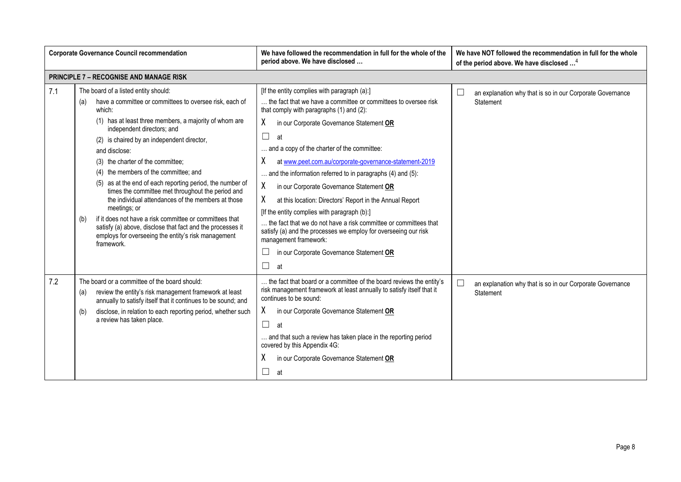|     | <b>Corporate Governance Council recommendation</b>                                                                                                                                                                                                                                                                                                                                                                                                                                                                                                                                                                                                                                                                                                 | We have followed the recommendation in full for the whole of the<br>period above. We have disclosed                                                                                                                                                                                                                                                                                                                                                                                                                                                                                                                                                                                                                                         | We have NOT followed the recommendation in full for the whole<br>of the period above. We have disclosed <sup>4</sup> |
|-----|----------------------------------------------------------------------------------------------------------------------------------------------------------------------------------------------------------------------------------------------------------------------------------------------------------------------------------------------------------------------------------------------------------------------------------------------------------------------------------------------------------------------------------------------------------------------------------------------------------------------------------------------------------------------------------------------------------------------------------------------------|---------------------------------------------------------------------------------------------------------------------------------------------------------------------------------------------------------------------------------------------------------------------------------------------------------------------------------------------------------------------------------------------------------------------------------------------------------------------------------------------------------------------------------------------------------------------------------------------------------------------------------------------------------------------------------------------------------------------------------------------|----------------------------------------------------------------------------------------------------------------------|
|     | <b>PRINCIPLE 7 - RECOGNISE AND MANAGE RISK</b>                                                                                                                                                                                                                                                                                                                                                                                                                                                                                                                                                                                                                                                                                                     |                                                                                                                                                                                                                                                                                                                                                                                                                                                                                                                                                                                                                                                                                                                                             |                                                                                                                      |
| 7.1 | The board of a listed entity should:<br>have a committee or committees to oversee risk, each of<br>(a)<br>which:<br>(1) has at least three members, a majority of whom are<br>independent directors; and<br>(2) is chaired by an independent director,<br>and disclose:<br>(3) the charter of the committee;<br>(4) the members of the committee; and<br>(5) as at the end of each reporting period, the number of<br>times the committee met throughout the period and<br>the individual attendances of the members at those<br>meetings; or<br>if it does not have a risk committee or committees that<br>(b)<br>satisfy (a) above, disclose that fact and the processes it<br>employs for overseeing the entity's risk management<br>framework. | [If the entity complies with paragraph (a):]<br>the fact that we have a committee or committees to oversee risk<br>that comply with paragraphs (1) and (2):<br>X.<br>in our Corporate Governance Statement OR<br>$\Box$<br>at<br>and a copy of the charter of the committee:<br>χ<br>at www.peet.com.au/corporate-governance-statement-2019<br>and the information referred to in paragraphs (4) and (5):<br>X<br>in our Corporate Governance Statement OR<br>χ<br>at this location: Directors' Report in the Annual Report<br>[If the entity complies with paragraph (b):]<br>the fact that we do not have a risk committee or committees that<br>satisfy (a) and the processes we employ for overseeing our risk<br>management framework: | └<br>an explanation why that is so in our Corporate Governance<br>Statement                                          |
| 7.2 | The board or a committee of the board should:<br>review the entity's risk management framework at least<br>(a)<br>annually to satisfy itself that it continues to be sound; and<br>disclose, in relation to each reporting period, whether such<br>(b)<br>a review has taken place.                                                                                                                                                                                                                                                                                                                                                                                                                                                                | in our Corporate Governance Statement OR<br>П<br>at<br>the fact that board or a committee of the board reviews the entity's<br>risk management framework at least annually to satisfy itself that it<br>continues to be sound:<br>X.<br>in our Corporate Governance Statement OR<br>П<br>at<br>and that such a review has taken place in the reporting period<br>covered by this Appendix 4G:                                                                                                                                                                                                                                                                                                                                               | $\Box$<br>an explanation why that is so in our Corporate Governance<br>Statement                                     |
|     |                                                                                                                                                                                                                                                                                                                                                                                                                                                                                                                                                                                                                                                                                                                                                    | х<br>in our Corporate Governance Statement OR<br>$\Box$<br>at                                                                                                                                                                                                                                                                                                                                                                                                                                                                                                                                                                                                                                                                               |                                                                                                                      |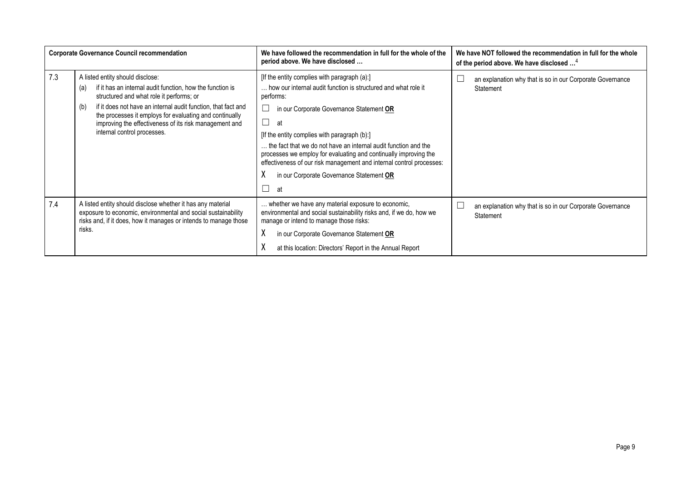|     | <b>Corporate Governance Council recommendation</b>                                                                                                                                                                                                                                                                                                                           | We have followed the recommendation in full for the whole of the<br>period above. We have disclosed                                                                                                                                                                                                                                                                                                                                                                                                                        | We have NOT followed the recommendation in full for the whole<br>of the period above. We have disclosed <sup>4</sup> |
|-----|------------------------------------------------------------------------------------------------------------------------------------------------------------------------------------------------------------------------------------------------------------------------------------------------------------------------------------------------------------------------------|----------------------------------------------------------------------------------------------------------------------------------------------------------------------------------------------------------------------------------------------------------------------------------------------------------------------------------------------------------------------------------------------------------------------------------------------------------------------------------------------------------------------------|----------------------------------------------------------------------------------------------------------------------|
| 7.3 | A listed entity should disclose:<br>if it has an internal audit function, how the function is<br>(a)<br>structured and what role it performs; or<br>if it does not have an internal audit function, that fact and<br>(b)<br>the processes it employs for evaluating and continually<br>improving the effectiveness of its risk management and<br>internal control processes. | [If the entity complies with paragraph (a):]<br>how our internal audit function is structured and what role it<br>performs:<br>in our Corporate Governance Statement OR<br>at<br>[If the entity complies with paragraph (b):]<br>the fact that we do not have an internal audit function and the<br>processes we employ for evaluating and continually improving the<br>effectiveness of our risk management and internal control processes:<br>in our Corporate Governance Statement OR<br>at<br>$\overline{\phantom{a}}$ | an explanation why that is so in our Corporate Governance<br>Statement                                               |
| 7.4 | A listed entity should disclose whether it has any material<br>exposure to economic, environmental and social sustainability<br>risks and, if it does, how it manages or intends to manage those<br>risks.                                                                                                                                                                   | whether we have any material exposure to economic,<br>environmental and social sustainability risks and, if we do, how we<br>manage or intend to manage those risks:<br>in our Corporate Governance Statement OR<br>at this location: Directors' Report in the Annual Report                                                                                                                                                                                                                                               | an explanation why that is so in our Corporate Governance<br><b>Statement</b>                                        |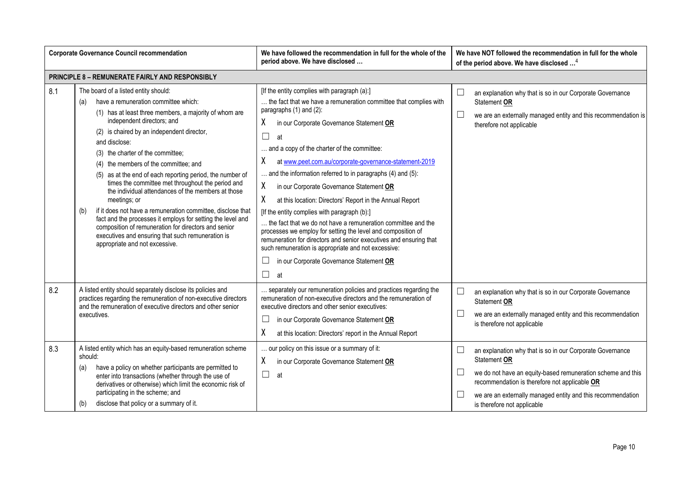|     | <b>Corporate Governance Council recommendation</b>                                                                                                                                                                                                                                                                                                                                                                                                                                                                                                                                                                                                                                                                                                                                                   | We have followed the recommendation in full for the whole of the<br>period above. We have disclosed                                                                                                                                                                                                                                                                                                                                                                                                                                                                                                                                                                                                                                                                                                                                                                                   | We have NOT followed the recommendation in full for the whole<br>of the period above. We have disclosed <sup>4</sup>                                                                                                                                                                                                  |
|-----|------------------------------------------------------------------------------------------------------------------------------------------------------------------------------------------------------------------------------------------------------------------------------------------------------------------------------------------------------------------------------------------------------------------------------------------------------------------------------------------------------------------------------------------------------------------------------------------------------------------------------------------------------------------------------------------------------------------------------------------------------------------------------------------------------|---------------------------------------------------------------------------------------------------------------------------------------------------------------------------------------------------------------------------------------------------------------------------------------------------------------------------------------------------------------------------------------------------------------------------------------------------------------------------------------------------------------------------------------------------------------------------------------------------------------------------------------------------------------------------------------------------------------------------------------------------------------------------------------------------------------------------------------------------------------------------------------|-----------------------------------------------------------------------------------------------------------------------------------------------------------------------------------------------------------------------------------------------------------------------------------------------------------------------|
|     | PRINCIPLE 8 - REMUNERATE FAIRLY AND RESPONSIBLY                                                                                                                                                                                                                                                                                                                                                                                                                                                                                                                                                                                                                                                                                                                                                      |                                                                                                                                                                                                                                                                                                                                                                                                                                                                                                                                                                                                                                                                                                                                                                                                                                                                                       |                                                                                                                                                                                                                                                                                                                       |
| 8.1 | The board of a listed entity should:<br>have a remuneration committee which:<br>(a)<br>(1) has at least three members, a majority of whom are<br>independent directors; and<br>(2) is chaired by an independent director,<br>and disclose:<br>(3) the charter of the committee;<br>(4) the members of the committee; and<br>(5) as at the end of each reporting period, the number of<br>times the committee met throughout the period and<br>the individual attendances of the members at those<br>meetings; or<br>if it does not have a remuneration committee, disclose that<br>(b)<br>fact and the processes it employs for setting the level and<br>composition of remuneration for directors and senior<br>executives and ensuring that such remuneration is<br>appropriate and not excessive. | [If the entity complies with paragraph (a):]<br>the fact that we have a remuneration committee that complies with<br>paragraphs (1) and (2):<br>in our Corporate Governance Statement OR<br>X<br>$\Box$<br>at<br>and a copy of the charter of the committee:<br>X<br>at www.peet.com.au/corporate-governance-statement-2019<br>and the information referred to in paragraphs (4) and (5):<br>X<br>in our Corporate Governance Statement OR<br>χ<br>at this location: Directors' Report in the Annual Report<br>[If the entity complies with paragraph (b):]<br>the fact that we do not have a remuneration committee and the<br>processes we employ for setting the level and composition of<br>remuneration for directors and senior executives and ensuring that<br>such remuneration is appropriate and not excessive:<br>in our Corporate Governance Statement OR<br>$\Box$<br>at | $\Box$<br>an explanation why that is so in our Corporate Governance<br>Statement OR<br>$\Box$<br>we are an externally managed entity and this recommendation is<br>therefore not applicable                                                                                                                           |
| 8.2 | A listed entity should separately disclose its policies and<br>practices regarding the remuneration of non-executive directors<br>and the remuneration of executive directors and other senior<br>executives.                                                                                                                                                                                                                                                                                                                                                                                                                                                                                                                                                                                        | separately our remuneration policies and practices regarding the<br>remuneration of non-executive directors and the remuneration of<br>executive directors and other senior executives:<br>in our Corporate Governance Statement OR<br>χ<br>at this location: Directors' report in the Annual Report                                                                                                                                                                                                                                                                                                                                                                                                                                                                                                                                                                                  | $\Box$<br>an explanation why that is so in our Corporate Governance<br>Statement OR<br>$\Box$<br>we are an externally managed entity and this recommendation<br>is therefore not applicable                                                                                                                           |
| 8.3 | A listed entity which has an equity-based remuneration scheme<br>should:<br>have a policy on whether participants are permitted to<br>(a)<br>enter into transactions (whether through the use of<br>derivatives or otherwise) which limit the economic risk of<br>participating in the scheme; and<br>disclose that policy or a summary of it.<br>(b)                                                                                                                                                                                                                                                                                                                                                                                                                                                | our policy on this issue or a summary of it:<br>X<br>in our Corporate Governance Statement OR<br>$\Box$<br>at                                                                                                                                                                                                                                                                                                                                                                                                                                                                                                                                                                                                                                                                                                                                                                         | $\Box$<br>an explanation why that is so in our Corporate Governance<br>Statement OR<br>$\Box$<br>we do not have an equity-based remuneration scheme and this<br>recommendation is therefore not applicable OR<br>$\Box$<br>we are an externally managed entity and this recommendation<br>is therefore not applicable |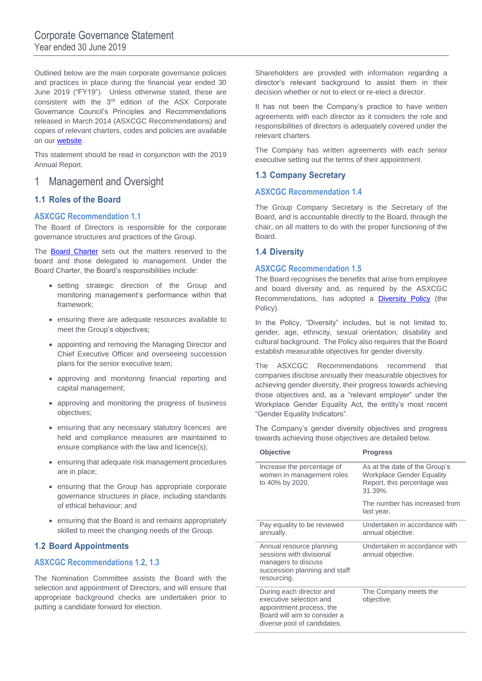Outlined below are the main corporate governance policies and practices in place during the financial year ended 30 June 2019 ("FY19"). Unless otherwise stated, these are consistent with the 3<sup>rd</sup> edition of the ASX Corporate Governance Council's Principles and Recommendations released in March 2014 (ASXCGC Recommendations) and copies of relevant charters, codes and policies are available on our [website.](https://www.peet.com.au/investor-centre/peet-ltd/corporate-governance)

This statement should be read in conjunction with the 2019 Annual Report.

## 1 Management and Oversight

### **1.1 Roles of the Board**

#### **ASXCGC Recommendation 1.1**

The Board of Directors is responsible for the corporate governance structures and practices of the Group.

The **[Board Charter](https://www.peet.com.au/-/media/peet/documents/corporate/corporate/corporate-governance/board-charter.ashx)** sets out the matters reserved to the board and those delegated to management. Under the Board Charter, the Board's responsibilities include:

- setting strategic direction of the Group and monitoring management's performance within that framework;
- ensuring there are adequate resources available to meet the Group's objectives;
- appointing and removing the Managing Director and Chief Executive Officer and overseeing succession plans for the senior executive team;
- approving and monitoring financial reporting and capital management;
- approving and monitoring the progress of business objectives;
- ensuring that any necessary statutory licences are held and compliance measures are maintained to ensure compliance with the law and licence(s);
- ensuring that adequate risk management procedures are in place;
- ensuring that the Group has appropriate corporate governance structures in place, including standards of ethical behaviour; and
- ensuring that the Board is and remains appropriately skilled to meet the changing needs of the Group.

## **1.2 Board Appointments**

#### **ASXCGC Recommendations 1.2, 1.3**

The Nomination Committee assists the Board with the selection and appointment of Directors, and will ensure that appropriate background checks are undertaken prior to putting a candidate forward for election.

Shareholders are provided with information regarding a director's relevant background to assist them in their decision whether or not to elect or re-elect a director.

It has not been the Company's practice to have written agreements with each director as it considers the role and responsibilities of directors is adequately covered under the relevant charters.

The Company has written agreements with each senior executive setting out the terms of their appointment.

#### **1.3 Company Secretary**

#### **ASXCGC Recommendation 1.4**

The Group Company Secretary is the Secretary of the Board, and is accountable directly to the Board, through the chair, on all matters to do with the proper functioning of the Board.

#### **1.4 Diversity**

#### **ASXCGC Recomme**n**dation 1.5**

The Board recognises the benefits that arise from employee and board diversity and, as required by the ASXCGC Recommendations, has adopted a [Diversity Policy](https://www.peet.com.au/-/media/peet/documents/corporate/corporate/corporate-governance/2018/180612-diversity-policy.ashx) (the Policy).

In the Policy, "Diversity" includes, but is not limited to, gender, age, ethnicity, sexual orientation, disability and cultural background. The Policy also requires that the Board establish measurable objectives for gender diversity.

The ASXCGC Recommendations recommend that companies disclose annually their measurable objectives for achieving gender diversity, their progress towards achieving those objectives and, as a "relevant employer" under the Workplace Gender Equality Act, the entity's most recent "Gender Equality Indicators".

The Company's gender diversity objectives and progress towards achieving those objectives are detailed below.

| <b>Objective</b>                                                                                                                               | <b>Progress</b>                                                                                             |
|------------------------------------------------------------------------------------------------------------------------------------------------|-------------------------------------------------------------------------------------------------------------|
| Increase the percentage of<br>women in management roles<br>to 40% by 2020.                                                                     | As at the date of the Group's<br><b>Workplace Gender Equality</b><br>Report, this percentage was<br>31.39%. |
|                                                                                                                                                | The number has increased from<br>last year.                                                                 |
| Pay equality to be reviewed<br>annually.                                                                                                       | Undertaken in accordance with<br>annual objective.                                                          |
| Annual resource planning<br>sessions with divisional<br>managers to discuss<br>succession planning and staff<br>resourcing.                    | Undertaken in accordance with<br>annual objective.                                                          |
| During each director and<br>executive selection and<br>appointment process, the<br>Board will aim to consider a<br>diverse pool of candidates. | The Company meets the<br>objective.                                                                         |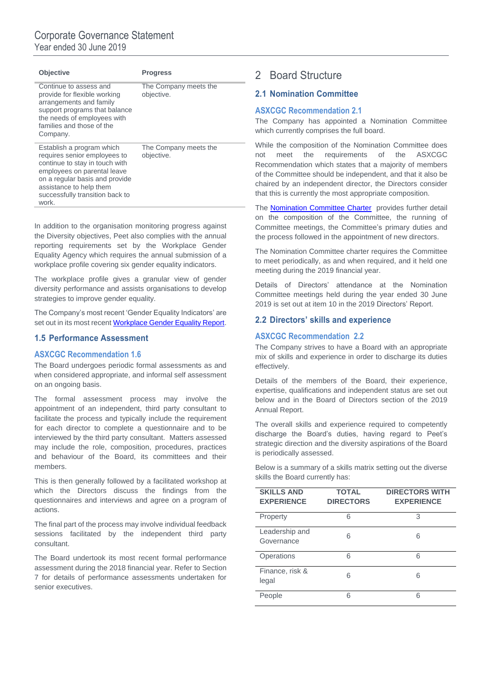| <b>Objective</b>                                                                                                                                                                                                                    | <b>Progress</b>                     |
|-------------------------------------------------------------------------------------------------------------------------------------------------------------------------------------------------------------------------------------|-------------------------------------|
| Continue to assess and<br>provide for flexible working<br>arrangements and family<br>support programs that balance<br>the needs of employees with<br>families and those of the<br>Company.                                          | The Company meets the<br>objective. |
| Establish a program which<br>requires senior employees to<br>continue to stay in touch with<br>employees on parental leave<br>on a regular basis and provide<br>assistance to help them<br>successfully transition back to<br>work. | The Company meets the<br>objective. |

In addition to the organisation monitoring progress against the Diversity objectives, Peet also complies with the annual reporting requirements set by the Workplace Gender Equality Agency which requires the annual submission of a workplace profile covering six gender equality indicators.

The workplace profile gives a granular view of gender diversity performance and assists organisations to develop strategies to improve gender equality.

The Company's most recent 'Gender Equality Indicators' are set out in its most recent [Workplace Gender Equality Report.](https://www.peet.com.au/-/media/peet/documents/corporate/corporate/2017/2019-peet-workplace-gender-equality-report.ashx)

#### **1.5 Performance Assessment**

#### **ASXCGC Recommendation 1.6**

The Board undergoes periodic formal assessments as and when considered appropriate, and informal self assessment on an ongoing basis.

The formal assessment process may involve the appointment of an independent, third party consultant to facilitate the process and typically include the requirement for each director to complete a questionnaire and to be interviewed by the third party consultant. Matters assessed may include the role, composition, procedures, practices and behaviour of the Board, its committees and their members.

This is then generally followed by a facilitated workshop at which the Directors discuss the findings from the questionnaires and interviews and agree on a program of actions.

The final part of the process may involve individual feedback sessions facilitated by the independent third party consultant.

The Board undertook its most recent formal performance assessment during the 2018 financial year. Refer to Section 7 for details of performance assessments undertaken for senior executives.

## 2 Board Structure

## **2.1 Nomination Committee**

#### **ASXCGC Recommendation 2.1**

The Company has appointed a Nomination Committee which currently comprises the full board.

While the composition of the Nomination Committee does not meet the requirements of the ASXCGC Recommendation which states that a majority of members of the Committee should be independent, and that it also be chaired by an independent director, the Directors consider that this is currently the most appropriate composition.

The [Nomination Committee Charter](https://www.peet.com.au/-/media/peet/documents/corporate/corporate/corporate-governance/nomination-committee-charter.ashx) provides further detail on the composition of the Committee, the running of Committee meetings, the Committee's primary duties and the process followed in the appointment of new directors.

The Nomination Committee charter requires the Committee to meet periodically, as and when required, and it held one meeting during the 2019 financial year.

Details of Directors' attendance at the Nomination Committee meetings held during the year ended 30 June 2019 is set out at item 10 in the 2019 Directors' Report.

#### **2.2 Directors' skills and experience**

#### **ASXCGC Recommendation 2.2**

The Company strives to have a Board with an appropriate mix of skills and experience in order to discharge its duties effectively.

Details of the members of the Board, their experience, expertise, qualifications and independent status are set out below and in the Board of Directors section of the 2019 Annual Report.

The overall skills and experience required to competently discharge the Board's duties, having regard to Peet's strategic direction and the diversity aspirations of the Board is periodically assessed.

Below is a summary of a skills matrix setting out the diverse skills the Board currently has:

| <b>SKILLS AND</b><br><b>EXPERIENCE</b> | <b>TOTAL</b><br><b>DIRECTORS</b> | <b>DIRECTORS WITH</b><br><b>EXPERIENCE</b> |
|----------------------------------------|----------------------------------|--------------------------------------------|
| Property                               | 6                                | 3                                          |
| Leadership and<br>Governance           | 6                                | 6                                          |
| Operations                             | 6                                | 6                                          |
| Finance, risk &<br>legal               | 6                                | 6                                          |
| People                                 | 6                                | 6                                          |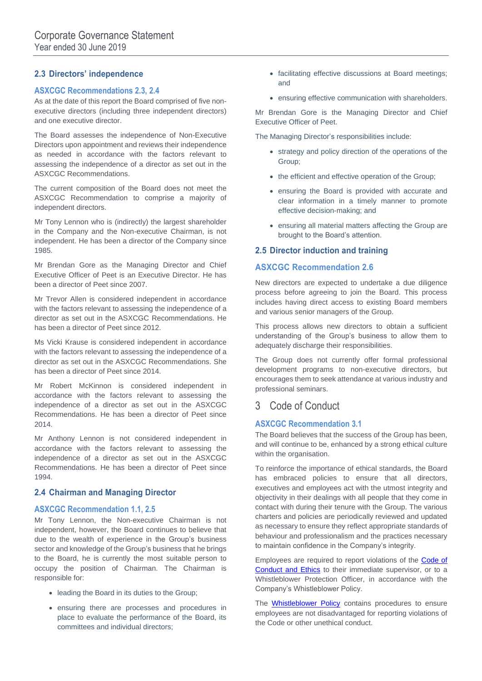## **2.3 Directors' independence**

#### **ASXCGC Recommendations 2.3, 2.4**

As at the date of this report the Board comprised of five nonexecutive directors (including three independent directors) and one executive director.

The Board assesses the independence of Non-Executive Directors upon appointment and reviews their independence as needed in accordance with the factors relevant to assessing the independence of a director as set out in the ASXCGC Recommendations.

The current composition of the Board does not meet the ASXCGC Recommendation to comprise a majority of independent directors.

Mr Tony Lennon who is (indirectly) the largest shareholder in the Company and the Non-executive Chairman, is not independent. He has been a director of the Company since 1985.

Mr Brendan Gore as the Managing Director and Chief Executive Officer of Peet is an Executive Director. He has been a director of Peet since 2007.

Mr Trevor Allen is considered independent in accordance with the factors relevant to assessing the independence of a director as set out in the ASXCGC Recommendations. He has been a director of Peet since 2012.

Ms Vicki Krause is considered independent in accordance with the factors relevant to assessing the independence of a director as set out in the ASXCGC Recommendations. She has been a director of Peet since 2014.

Mr Robert McKinnon is considered independent in accordance with the factors relevant to assessing the independence of a director as set out in the ASXCGC Recommendations. He has been a director of Peet since 2014.

Mr Anthony Lennon is not considered independent in accordance with the factors relevant to assessing the independence of a director as set out in the ASXCGC Recommendations. He has been a director of Peet since 1994.

#### **2.4 Chairman and Managing Director**

#### **ASXCGC Recommendation 1.1, 2.5**

Mr Tony Lennon, the Non-executive Chairman is not independent, however, the Board continues to believe that due to the wealth of experience in the Group's business sector and knowledge of the Group's business that he brings to the Board, he is currently the most suitable person to occupy the position of Chairman. The Chairman is responsible for:

- leading the Board in its duties to the Group;
- ensuring there are processes and procedures in place to evaluate the performance of the Board, its committees and individual directors;
- facilitating effective discussions at Board meetings; and
- ensuring effective communication with shareholders.

Mr Brendan Gore is the Managing Director and Chief Executive Officer of Peet.

The Managing Director's responsibilities include:

- strategy and policy direction of the operations of the Group;
- the efficient and effective operation of the Group;
- ensuring the Board is provided with accurate and clear information in a timely manner to promote effective decision-making; and
- ensuring all material matters affecting the Group are brought to the Board's attention.

#### **2.5 Director induction and training**

#### **ASXCGC Recommendation 2.6**

New directors are expected to undertake a due diligence process before agreeing to join the Board. This process includes having direct access to existing Board members and various senior managers of the Group.

This process allows new directors to obtain a sufficient understanding of the Group's business to allow them to adequately discharge their responsibilities.

The Group does not currently offer formal professional development programs to non-executive directors, but encourages them to seek attendance at various industry and professional seminars.

## 3 Code of Conduct

#### **ASXCGC Recommendation 3.1**

The Board believes that the success of the Group has been, and will continue to be, enhanced by a strong ethical culture within the organisation.

To reinforce the importance of ethical standards, the Board has embraced policies to ensure that all directors, executives and employees act with the utmost integrity and objectivity in their dealings with all people that they come in contact with during their tenure with the Group. The various charters and policies are periodically reviewed and updated as necessary to ensure they reflect appropriate standards of behaviour and professionalism and the practices necessary to maintain confidence in the Company's integrity.

Employees are required to report violations of the **Code of** [Conduct and Ethics](https://www.peet.com.au/-/media/peet/documents/corporate/corporate/corporate-governance/peet-limited-code-of-conduct-and-ethics.ashx) to their immediate supervisor, or to a Whistleblower Protection Officer, in accordance with the Company's Whistleblower Policy.

The [Whistleblower Policy](https://www.peet.com.au/-/media/peet/documents/corporate/corporate/corporate-governance/2018/180313-whistleblower-policy.ashx) contains procedures to ensure employees are not disadvantaged for reporting violations of the Code or other unethical conduct.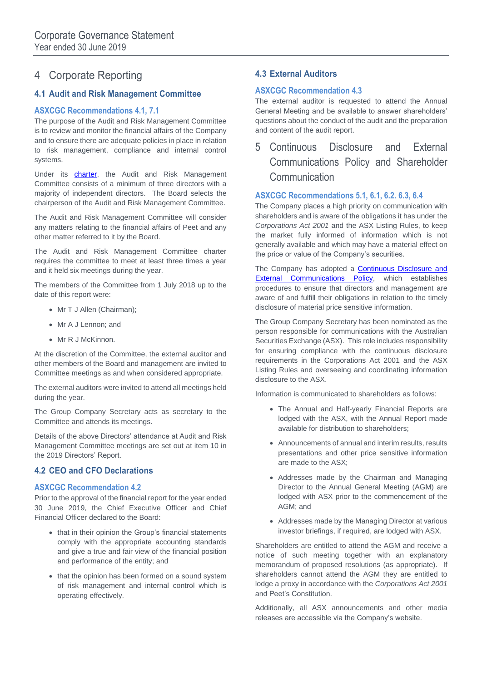## 4 Corporate Reporting

## **4.1 Audit and Risk Management Committee**

### **ASXCGC Recommendations 4.1, 7.1**

The purpose of the Audit and Risk Management Committee is to review and monitor the financial affairs of the Company and to ensure there are adequate policies in place in relation to risk management, compliance and internal control systems.

Under its [charter,](https://www.peet.com.au/-/media/peet/documents/corporate/corporate/corporate-governance/180615-audit--risk-management-committee-charter.ashx) the Audit and Risk Management Committee consists of a minimum of three directors with a majority of independent directors. The Board selects the chairperson of the Audit and Risk Management Committee.

The Audit and Risk Management Committee will consider any matters relating to the financial affairs of Peet and any other matter referred to it by the Board.

The Audit and Risk Management Committee charter requires the committee to meet at least three times a year and it held six meetings during the year.

The members of the Committee from 1 July 2018 up to the date of this report were:

- Mr T J Allen (Chairman);
- Mr A J Lennon; and
- Mr R J McKinnon.

At the discretion of the Committee, the external auditor and other members of the Board and management are invited to Committee meetings as and when considered appropriate.

The external auditors were invited to attend all meetings held during the year.

The Group Company Secretary acts as secretary to the Committee and attends its meetings.

Details of the above Directors' attendance at Audit and Risk Management Committee meetings are set out at item 10 in the 2019 Directors' Report.

## **4.2 CEO and CFO Declarations**

#### **ASXCGC Recommendation 4.2**

Prior to the approval of the financial report for the year ended 30 June 2019, the Chief Executive Officer and Chief Financial Officer declared to the Board:

- that in their opinion the Group's financial statements comply with the appropriate accounting standards and give a true and fair view of the financial position and performance of the entity; and
- that the opinion has been formed on a sound system of risk management and internal control which is operating effectively.

## **4.3 External Auditors**

#### **ASXCGC Recommendation 4.3**

The external auditor is requested to attend the Annual General Meeting and be available to answer shareholders' questions about the conduct of the audit and the preparation and content of the audit report.

5 Continuous Disclosure and External Communications Policy and Shareholder **Communication** 

#### **ASXCGC Recommendations 5.1, 6.1, 6.2. 6.3, 6.4**

The Company places a high priority on communication with shareholders and is aware of the obligations it has under the *Corporations Act 2001* and the ASX Listing Rules, to keep the market fully informed of information which is not generally available and which may have a material effect on the price or value of the Company's securities.

The Company has adopted a **Continuous Disclosure and External Communications Policy**, which establishes procedures to ensure that directors and management are aware of and fulfill their obligations in relation to the timely disclosure of material price sensitive information.

The Group Company Secretary has been nominated as the person responsible for communications with the Australian Securities Exchange (ASX). This role includes responsibility for ensuring compliance with the continuous disclosure requirements in the Corporations Act 2001 and the ASX Listing Rules and overseeing and coordinating information disclosure to the ASX.

Information is communicated to shareholders as follows:

- The Annual and Half-yearly Financial Reports are lodged with the ASX, with the Annual Report made available for distribution to shareholders;
- Announcements of annual and interim results, results presentations and other price sensitive information are made to the ASX;
- Addresses made by the Chairman and Managing Director to the Annual General Meeting (AGM) are lodged with ASX prior to the commencement of the AGM; and
- Addresses made by the Managing Director at various investor briefings, if required, are lodged with ASX.

Shareholders are entitled to attend the AGM and receive a notice of such meeting together with an explanatory memorandum of proposed resolutions (as appropriate). If shareholders cannot attend the AGM they are entitled to lodge a proxy in accordance with the *Corporations Act 2001* and Peet's Constitution.

Additionally, all ASX announcements and other media releases are accessible via the Company's website.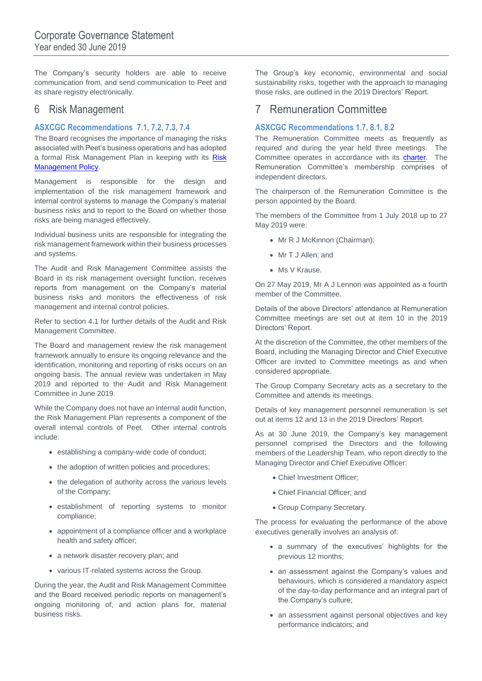The Company's security holders are able to receive communication from, and send communication to Peet and its share registry electronically.

## 6 Risk Management

### **ASXCGC Recommendations 7.1, 7.2, 7.3, 7.4**

The Board recognises the importance of managing the risks associated with Peet's business operations and has adopted a formal [Risk](https://www.peet.com.au/-/media/peet/documents/corporate/corporate/corporate-governance/2018/190805-risk-management-policy.ashx) Management Plan in keeping with its Risk **[Management Policy.](https://www.peet.com.au/-/media/peet/documents/corporate/corporate/corporate-governance/2018/190805-risk-management-policy.ashx)** 

Management is responsible for the design and implementation of the risk management framework and internal control systems to manage the Company's material business risks and to report to the Board on whether those risks are being managed effectively.

Individual business units are responsible for integrating the risk management framework within their business processes and systems.

The Audit and Risk Management Committee assists the Board in its risk management oversight function, receives reports from management on the Company's material business risks and monitors the effectiveness of risk management and internal control policies.

Refer to section 4.1 for further details of the Audit and Risk Management Committee.

The Board and management review the risk management framework annually to ensure its ongoing relevance and the identification, monitoring and reporting of risks occurs on an ongoing basis. The annual review was undertaken in May 2019 and reported to the Audit and Risk Management Committee in June 2019.

While the Company does not have an internal audit function, the Risk Management Plan represents a component of the overall internal controls of Peet. Other internal controls include:

- establishing a company-wide code of conduct;
- the adoption of written policies and procedures;
- the delegation of authority across the various levels of the Company;
- establishment of reporting systems to monitor compliance;
- appointment of a compliance officer and a workplace health and safety officer;
- a network disaster recovery plan; and
- various IT-related systems across the Group.

During the year, the Audit and Risk Management Committee and the Board received periodic reports on management's ongoing monitoring of, and action plans for, material business risks.

The Group's key economic, environmental and social sustainability risks, together with the approach to managing those risks, are outlined in the 2019 Directors' Report.

## 7 Remuneration Committee

#### **ASXCGC Recommendations 1.7, 8.1, 8.2**

The Remuneration Committee meets as frequently as required and during the year held three meetings. The Committee operates in accordance with its [charter.](https://www.peet.com.au/-/media/peet/documents/corporate/corporate/corporate-governance/20190805-remuneration-committee-charter-policy.ashx) The Remuneration Committee's membership comprises of independent directors.

The chairperson of the Remuneration Committee is the person appointed by the Board.

The members of the Committee from 1 July 2018 up to 27 May 2019 were:

- Mr R J McKinnon (Chairman);
- Mr T J Allen; and
- Ms V Krause.

On 27 May 2019, Mr A J Lennon was appointed as a fourth member of the Committee.

Details of the above Directors' attendance at Remuneration Committee meetings are set out at item 10 in the 2019 Directors' Report.

At the discretion of the Committee, the other members of the Board, including the Managing Director and Chief Executive Officer are invited to Committee meetings as and when considered appropriate.

The Group Company Secretary acts as a secretary to the Committee and attends its meetings.

Details of key management personnel remuneration is set out at items 12 and 13 in the 2019 Directors' Report.

As at 30 June 2019, the Company's key management personnel comprised the Directors and the following members of the Leadership Team, who report directly to the Managing Director and Chief Executive Officer:

- Chief Investment Officer;
- Chief Financial Officer; and
- Group Company Secretary.

The process for evaluating the performance of the above executives generally involves an analysis of:

- a summary of the executives' highlights for the previous 12 months;
- an assessment against the Company's values and behaviours, which is considered a mandatory aspect of the day-to-day performance and an integral part of the Company's culture;
- an assessment against personal objectives and key performance indicators; and